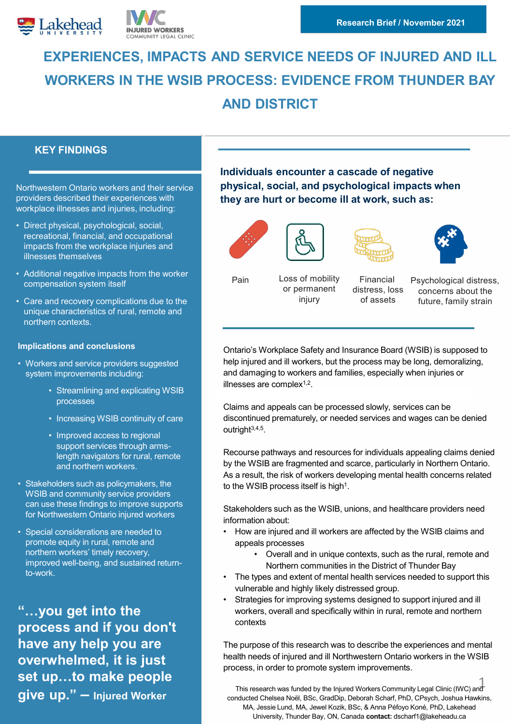



# **EXPERIENCES, IMPACTS AND SERVICE NEEDS OF INJURED AND ILL WORKERS IN THE WSIB PROCESS: EVIDENCE FROM THUNDER BAY AND DISTRICT**

# **KEY FINDINGS**

Northwestern Ontario workers and their service providers described their experiences with workplace illnesses and injuries, including:

- Direct physical, psychological, social, recreational, financial, and occupational impacts from the workplace injuries and illnesses themselves
- Additional negative impacts from the worker compensation system itself
- Care and recovery complications due to the unique characteristics of rural, remote and northern contexts.

#### **Implications and conclusions**

- Workers and service providers suggested system improvements including:
	- Streamlining and explicating WSIB processes
	- Increasing WSIB continuity of care
	- Improved access to regional support services through armslength navigators for rural, remote and northern workers.
- Stakeholders such as policymakers, the WSIB and community service providers can use these findings to improve supports for Northwestern Ontario injured workers
- Special considerations are needed to promote equity in rural, remote and northern workers' timely recovery, improved well-being, and sustained returnto-work.

**"…you get into the process and if you don't have any help you are overwhelmed, it is just set up…to make people give up." – Injured Worker** 

**Individuals encounter a cascade of negative physical, social, and psychological impacts when they are hurt or become ill at work, such as:** 









Pain Loss of mobility or permanent injury

Financial distress, loss of assets

Psychological distress, concerns about the future, family strain

Ontario's Workplace Safety and Insurance Board (WSIB) is supposed to help injured and ill workers, but the process may be long, demoralizing, and damaging to workers and families, especially when injuries or illnesses are complex $1,2$ .

Claims and appeals can be processed slowly, services can be discontinued prematurely, or needed services and wages can be denied outright $3,4,5$ .

Recourse pathways and resources for individuals appealing claims denied by the WSIB are fragmented and scarce, particularly in Northern Ontario. As a result, the risk of workers developing mental health concerns related to the WSIB process itself is high<sup>1</sup>.

Stakeholders such as the WSIB, unions, and healthcare providers need information about:

- How are injured and ill workers are affected by the WSIB claims and appeals processes
	- Overall and in unique contexts, such as the rural, remote and Northern communities in the District of Thunder Bay
- The types and extent of mental health services needed to support this vulnerable and highly likely distressed group.
- Strategies for improving systems designed to support injured and ill workers, overall and specifically within in rural, remote and northern contexts

The purpose of this research was to describe the experiences and mental health needs of injured and ill Northwestern Ontario workers in the WSIB process, in order to promote system improvements.

This research was funded by the Injured Workers Community Legal Clinic (IWC) and conducted Chelsea Noël, BSc, GradDip, Deborah Scharf, PhD, CPsych, Joshua Hawkins, MA, Jessie Lund, MA, Jewel Kozik, BSc, & Anna Péfoyo Koné, PhD, Lakehead University, Thunder Bay, ON, Canada **contact:** dscharf1@lakeheadu.ca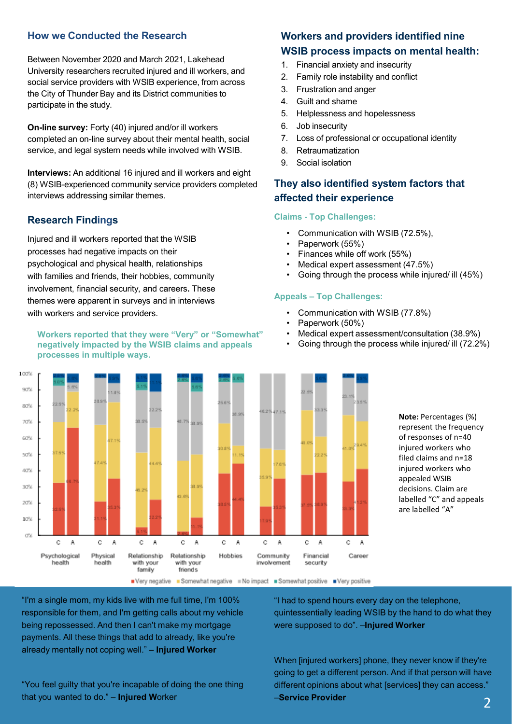## **How we Conducted the Research**

Between November 2020 and March 2021, Lakehead University researchers recruited injured and ill workers, and social service providers with WSIB experience, from across the City of Thunder Bay and its District communities to participate in the study.

**On-line survey:** Forty (40) injured and/or ill workers completed an on-line survey about their mental health, social service, and legal system needs while involved with WSIB.

**Interviews:** An additional 16 injured and ill workers and eight (8) WSIB-experienced community service providers completed interviews addressing similar themes.

#### **Research Findings**

Injured and ill workers reported that the WSIB processes had negative impacts on their psychological and physical health, relationships with families and friends, their hobbies, community involvement, financial security, and careers**.** These themes were apparent in surveys and in interviews with workers and service providers.

#### **Workers reported that they were "Very" or "Somewhat" negatively impacted by the WSIB claims and appeals processes in multiple ways.**



# **Workers and providers identified nine WSIB process impacts on mental health:**

- 1. Financial anxiety and insecurity
- 2. Family role instability and conflict
- 3. Frustration and anger
- 4. Guilt and shame
- 5. Helplessness and hopelessness
- 6. Job insecurity
- 7. Loss of professional or occupational identity
- 8. Retraumatization
- 9. Social isolation

# **They also identified system factors that affected their experience**

#### **Claims - Top Challenges:**

- Communication with WSIB (72.5%),
- Paperwork (55%)
- Finances while off work (55%)
- Medical expert assessment (47.5%)
- Going through the process while injured/ ill (45%)

#### **Appeals – Top Challenges:**

- Communication with WSIB (77.8%)
- Paperwork (50%)
- Medical expert assessment/consultation (38.9%)
- Going through the process while injured/ ill (72.2%)

**Note:** Percentages (%) represent the frequency of responses of n=40 injured workers who filed claims and n=18 injured workers who appealed WSIB decisions. Claim are labelled "C" and appeals are labelled "A"

"I'm a single mom, my kids live with me full time, I'm 100% responsible for them, and I'm getting calls about my vehicle being repossessed. And then I can't make my mortgage payments. All these things that add to already, like you're already mentally not coping well." – **Injured Worker**

"You feel guilty that you're incapable of doing the one thing that you wanted to do." – **Injured W**orker

"I had to spend hours every day on the telephone, quintessentially leading WSIB by the hand to do what they were supposed to do". –**Injured Worker**

When [injured workers] phone, they never know if they're going to get a different person. And if that person will have different opinions about what [services] they can access." –**Service Provider** 2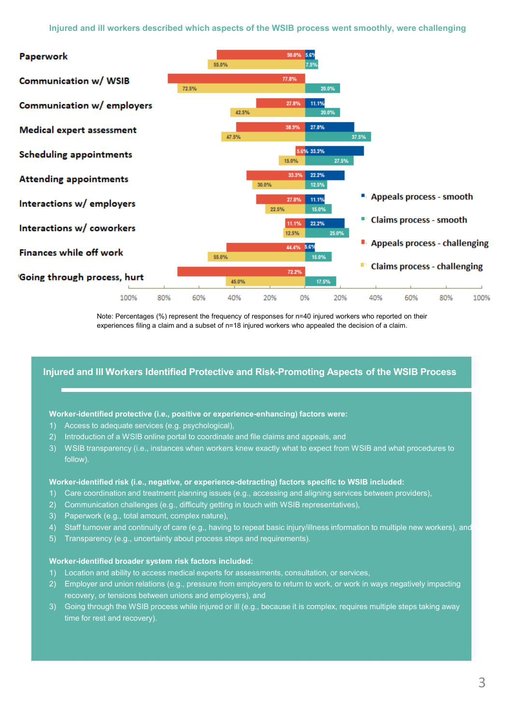

Note: Percentages (%) represent the frequency of responses for n=40 injured workers who reported on their experiences filing a claim and a subset of n=18 injured workers who appealed the decision of a claim.

### **Injured and Ill Workers Identified Protective and Risk-Promoting Aspects of the WSIB Process**

#### **Worker-identified protective (i.e., positive or experience-enhancing) factors were:**

- 1) Access to adequate services (e.g. psychological),
- 2) Introduction of a WSIB online portal to coordinate and file claims and appeals, and
- 3) WSIB transparency (i.e., instances when workers knew exactly what to expect from WSIB and what procedures to follow).

#### **Worker-identified risk (i.e., negative, or experience-detracting) factors specific to WSIB included:**

- 1) Care coordination and treatment planning issues (e.g., accessing and aligning services between providers),
- 2) Communication challenges (e.g., difficulty getting in touch with WSIB representatives),
- 3) Paperwork (e.g., total amount, complex nature),
- 4) Staff turnover and continuity of care (e.g., having to repeat basic injury/illness information to multiple new workers), and
- 5) Transparency (e.g., uncertainty about process steps and requirements).

#### **Worker-identified broader system risk factors included:**

- 1) Location and ability to access medical experts for assessments, consultation, or services,
- 2) Employer and union relations (e.g., pressure from employers to return to work, or work in ways negatively impacting recovery, or tensions between unions and employers), and
- 3) Going through the WSIB process while injured or ill (e.g., because it is complex, requires multiple steps taking away time for rest and recovery).